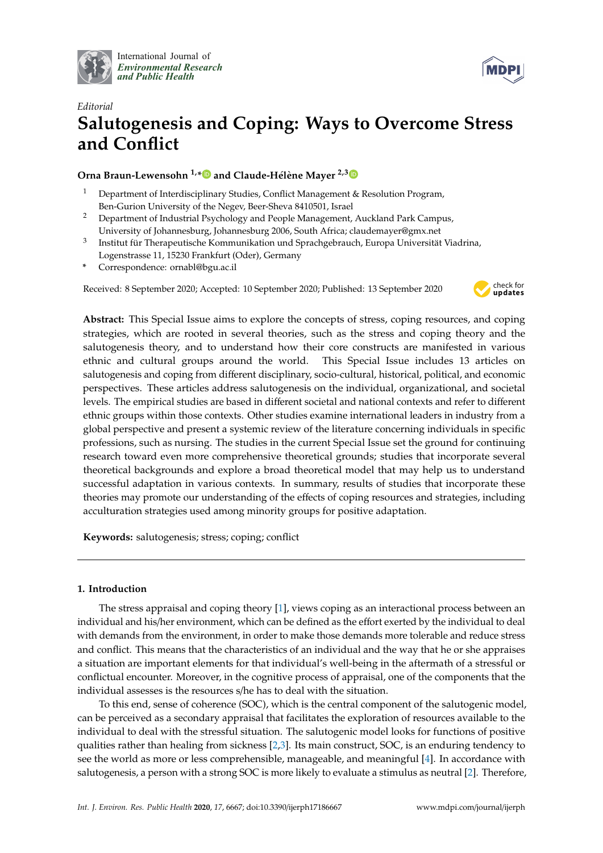

International Journal of *[Environmental Research](http://www.mdpi.com/journal/ijerph) and Public Health*



# *Editorial* **Salutogenesis and Coping: Ways to Overcome Stress and Conflict**

# **Orna Braun-Lewensohn 1,[\\*](https://orcid.org/0000-0002-9749-2763) and Claude-Hélène Mayer 2,[3](https://orcid.org/0000-0002-9445-7591)**

- <sup>1</sup> Department of Interdisciplinary Studies, Conflict Management & Resolution Program, Ben-Gurion University of the Negev, Beer-Sheva 8410501, Israel
- <sup>2</sup> Department of Industrial Psychology and People Management, Auckland Park Campus, University of Johannesburg, Johannesburg 2006, South Africa; claudemayer@gmx.net
- 3 Institut für Therapeutische Kommunikation und Sprachgebrauch, Europa Universität Viadrina, Logenstrasse 11, 15230 Frankfurt (Oder), Germany
- **\*** Correspondence: ornabl@bgu.ac.il

Received: 8 September 2020; Accepted: 10 September 2020; Published: 13 September 2020



**Abstract:** This Special Issue aims to explore the concepts of stress, coping resources, and coping strategies, which are rooted in several theories, such as the stress and coping theory and the salutogenesis theory, and to understand how their core constructs are manifested in various ethnic and cultural groups around the world. This Special Issue includes 13 articles on salutogenesis and coping from different disciplinary, socio-cultural, historical, political, and economic perspectives. These articles address salutogenesis on the individual, organizational, and societal levels. The empirical studies are based in different societal and national contexts and refer to different ethnic groups within those contexts. Other studies examine international leaders in industry from a global perspective and present a systemic review of the literature concerning individuals in specific professions, such as nursing. The studies in the current Special Issue set the ground for continuing research toward even more comprehensive theoretical grounds; studies that incorporate several theoretical backgrounds and explore a broad theoretical model that may help us to understand successful adaptation in various contexts. In summary, results of studies that incorporate these theories may promote our understanding of the effects of coping resources and strategies, including acculturation strategies used among minority groups for positive adaptation.

**Keywords:** salutogenesis; stress; coping; conflict

# **1. Introduction**

The stress appraisal and coping theory [\[1\]](#page-4-0), views coping as an interactional process between an individual and his/her environment, which can be defined as the effort exerted by the individual to deal with demands from the environment, in order to make those demands more tolerable and reduce stress and conflict. This means that the characteristics of an individual and the way that he or she appraises a situation are important elements for that individual's well-being in the aftermath of a stressful or conflictual encounter. Moreover, in the cognitive process of appraisal, one of the components that the individual assesses is the resources s/he has to deal with the situation.

To this end, sense of coherence (SOC), which is the central component of the salutogenic model, can be perceived as a secondary appraisal that facilitates the exploration of resources available to the individual to deal with the stressful situation. The salutogenic model looks for functions of positive qualities rather than healing from sickness [\[2](#page-4-1)[,3\]](#page-4-2). Its main construct, SOC, is an enduring tendency to see the world as more or less comprehensible, manageable, and meaningful [\[4\]](#page-4-3). In accordance with salutogenesis, a person with a strong SOC is more likely to evaluate a stimulus as neutral [\[2\]](#page-4-1). Therefore,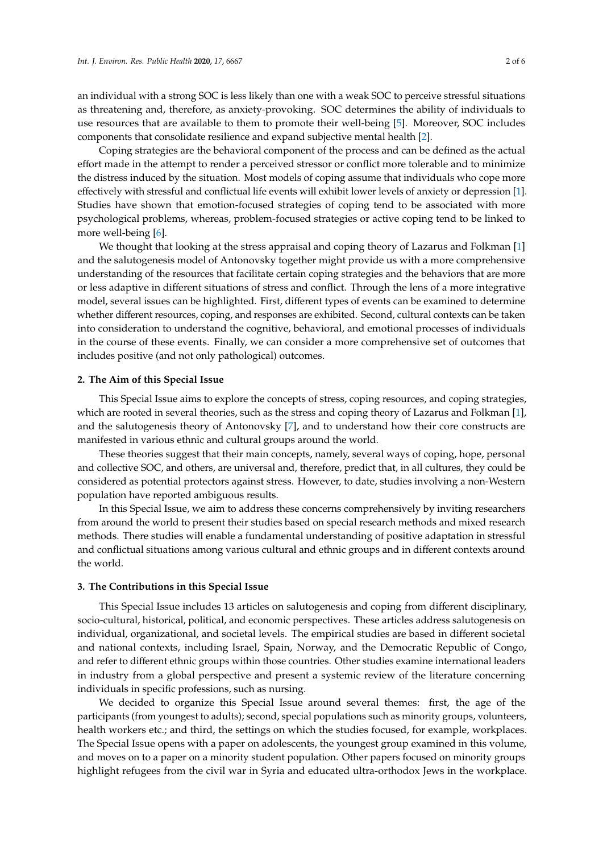an individual with a strong SOC is less likely than one with a weak SOC to perceive stressful situations as threatening and, therefore, as anxiety-provoking. SOC determines the ability of individuals to use resources that are available to them to promote their well-being [\[5\]](#page-4-4). Moreover, SOC includes components that consolidate resilience and expand subjective mental health [\[2\]](#page-4-1).

Coping strategies are the behavioral component of the process and can be defined as the actual effort made in the attempt to render a perceived stressor or conflict more tolerable and to minimize the distress induced by the situation. Most models of coping assume that individuals who cope more effectively with stressful and conflictual life events will exhibit lower levels of anxiety or depression [\[1\]](#page-4-0). Studies have shown that emotion-focused strategies of coping tend to be associated with more psychological problems, whereas, problem-focused strategies or active coping tend to be linked to more well-being [\[6\]](#page-4-5).

We thought that looking at the stress appraisal and coping theory of Lazarus and Folkman [\[1\]](#page-4-0) and the salutogenesis model of Antonovsky together might provide us with a more comprehensive understanding of the resources that facilitate certain coping strategies and the behaviors that are more or less adaptive in different situations of stress and conflict. Through the lens of a more integrative model, several issues can be highlighted. First, different types of events can be examined to determine whether different resources, coping, and responses are exhibited. Second, cultural contexts can be taken into consideration to understand the cognitive, behavioral, and emotional processes of individuals in the course of these events. Finally, we can consider a more comprehensive set of outcomes that includes positive (and not only pathological) outcomes.

#### **2. The Aim of this Special Issue**

This Special Issue aims to explore the concepts of stress, coping resources, and coping strategies, which are rooted in several theories, such as the stress and coping theory of Lazarus and Folkman [\[1\]](#page-4-0), and the salutogenesis theory of Antonovsky [\[7\]](#page-4-6), and to understand how their core constructs are manifested in various ethnic and cultural groups around the world.

These theories suggest that their main concepts, namely, several ways of coping, hope, personal and collective SOC, and others, are universal and, therefore, predict that, in all cultures, they could be considered as potential protectors against stress. However, to date, studies involving a non-Western population have reported ambiguous results.

In this Special Issue, we aim to address these concerns comprehensively by inviting researchers from around the world to present their studies based on special research methods and mixed research methods. There studies will enable a fundamental understanding of positive adaptation in stressful and conflictual situations among various cultural and ethnic groups and in different contexts around the world.

## **3. The Contributions in this Special Issue**

This Special Issue includes 13 articles on salutogenesis and coping from different disciplinary, socio-cultural, historical, political, and economic perspectives. These articles address salutogenesis on individual, organizational, and societal levels. The empirical studies are based in different societal and national contexts, including Israel, Spain, Norway, and the Democratic Republic of Congo, and refer to different ethnic groups within those countries. Other studies examine international leaders in industry from a global perspective and present a systemic review of the literature concerning individuals in specific professions, such as nursing.

We decided to organize this Special Issue around several themes: first, the age of the participants (from youngest to adults); second, special populations such as minority groups, volunteers, health workers etc.; and third, the settings on which the studies focused, for example, workplaces. The Special Issue opens with a paper on adolescents, the youngest group examined in this volume, and moves on to a paper on a minority student population. Other papers focused on minority groups highlight refugees from the civil war in Syria and educated ultra-orthodox Jews in the workplace.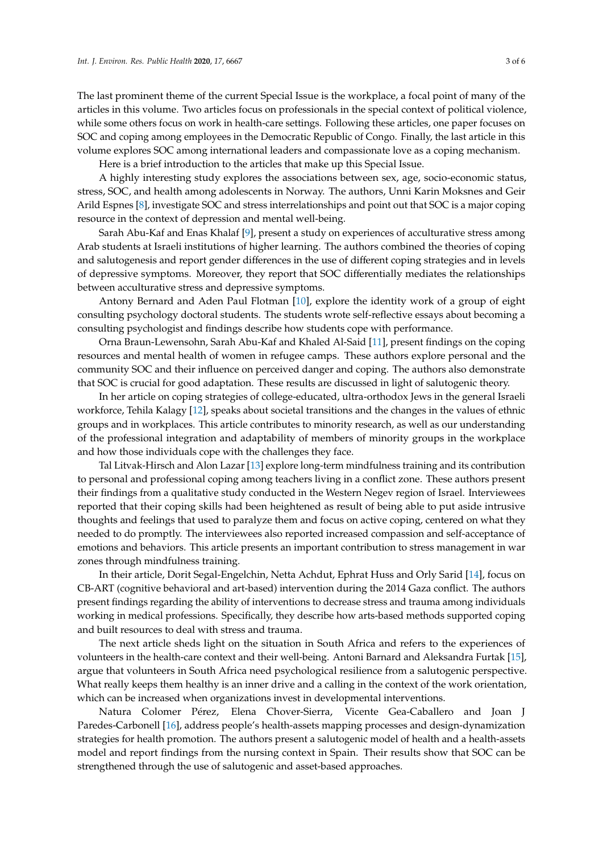The last prominent theme of the current Special Issue is the workplace, a focal point of many of the articles in this volume. Two articles focus on professionals in the special context of political violence, while some others focus on work in health-care settings. Following these articles, one paper focuses on SOC and coping among employees in the Democratic Republic of Congo. Finally, the last article in this volume explores SOC among international leaders and compassionate love as a coping mechanism.

Here is a brief introduction to the articles that make up this Special Issue.

A highly interesting study explores the associations between sex, age, socio-economic status, stress, SOC, and health among adolescents in Norway. The authors, Unni Karin Moksnes and Geir Arild Espnes [\[8\]](#page-4-7), investigate SOC and stress interrelationships and point out that SOC is a major coping resource in the context of depression and mental well-being.

Sarah Abu-Kaf and Enas Khalaf [\[9\]](#page-4-8), present a study on experiences of acculturative stress among Arab students at Israeli institutions of higher learning. The authors combined the theories of coping and salutogenesis and report gender differences in the use of different coping strategies and in levels of depressive symptoms. Moreover, they report that SOC differentially mediates the relationships between acculturative stress and depressive symptoms.

Antony Bernard and Aden Paul Flotman [\[10\]](#page-4-9), explore the identity work of a group of eight consulting psychology doctoral students. The students wrote self-reflective essays about becoming a consulting psychologist and findings describe how students cope with performance.

Orna Braun-Lewensohn, Sarah Abu-Kaf and Khaled Al-Said [\[11\]](#page-4-10), present findings on the coping resources and mental health of women in refugee camps. These authors explore personal and the community SOC and their influence on perceived danger and coping. The authors also demonstrate that SOC is crucial for good adaptation. These results are discussed in light of salutogenic theory.

In her article on coping strategies of college-educated, ultra-orthodox Jews in the general Israeli workforce, Tehila Kalagy [\[12\]](#page-4-11), speaks about societal transitions and the changes in the values of ethnic groups and in workplaces. This article contributes to minority research, as well as our understanding of the professional integration and adaptability of members of minority groups in the workplace and how those individuals cope with the challenges they face.

Tal Litvak-Hirsch and Alon Lazar [\[13\]](#page-4-12) explore long-term mindfulness training and its contribution to personal and professional coping among teachers living in a conflict zone. These authors present their findings from a qualitative study conducted in the Western Negev region of Israel. Interviewees reported that their coping skills had been heightened as result of being able to put aside intrusive thoughts and feelings that used to paralyze them and focus on active coping, centered on what they needed to do promptly. The interviewees also reported increased compassion and self-acceptance of emotions and behaviors. This article presents an important contribution to stress management in war zones through mindfulness training.

In their article, Dorit Segal-Engelchin, Netta Achdut, Ephrat Huss and Orly Sarid [\[14\]](#page-4-13), focus on CB-ART (cognitive behavioral and art-based) intervention during the 2014 Gaza conflict. The authors present findings regarding the ability of interventions to decrease stress and trauma among individuals working in medical professions. Specifically, they describe how arts-based methods supported coping and built resources to deal with stress and trauma.

The next article sheds light on the situation in South Africa and refers to the experiences of volunteers in the health-care context and their well-being. Antoni Barnard and Aleksandra Furtak [\[15\]](#page-4-14), argue that volunteers in South Africa need psychological resilience from a salutogenic perspective. What really keeps them healthy is an inner drive and a calling in the context of the work orientation, which can be increased when organizations invest in developmental interventions.

Natura Colomer Pérez, Elena Chover-Sierra, Vicente Gea-Caballero and Joan J Paredes-Carbonell [\[16\]](#page-4-15), address people's health-assets mapping processes and design-dynamization strategies for health promotion. The authors present a salutogenic model of health and a health-assets model and report findings from the nursing context in Spain. Their results show that SOC can be strengthened through the use of salutogenic and asset-based approaches.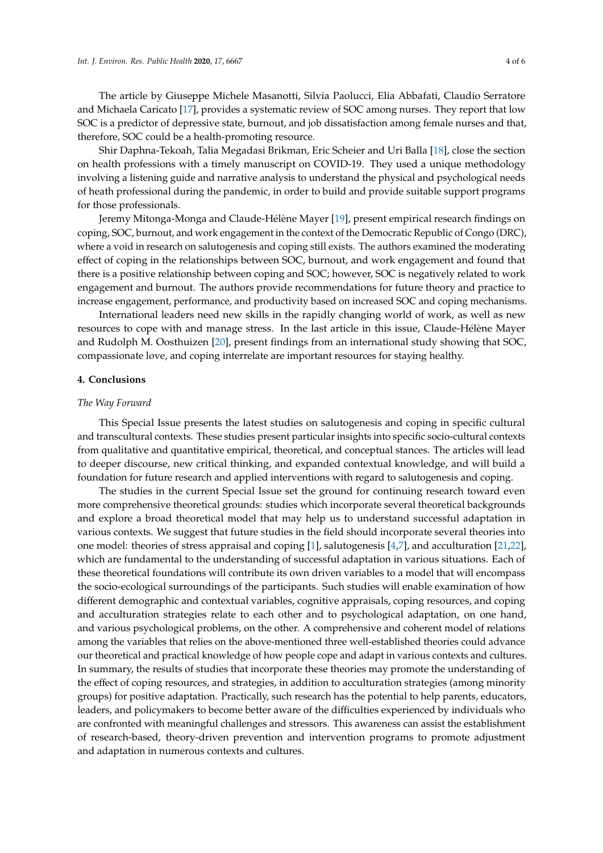The article by Giuseppe Michele Masanotti, Silvia Paolucci, Elia Abbafati, Claudio Serratore and Michaela Caricato [\[17\]](#page-4-16), provides a systematic review of SOC among nurses. They report that low SOC is a predictor of depressive state, burnout, and job dissatisfaction among female nurses and that, therefore, SOC could be a health-promoting resource.

Shir Daphna-Tekoah, Talia Megadasi Brikman, Eric Scheier and Uri Balla [\[18\]](#page-4-17), close the section on health professions with a timely manuscript on COVID-19. They used a unique methodology involving a listening guide and narrative analysis to understand the physical and psychological needs of heath professional during the pandemic, in order to build and provide suitable support programs for those professionals.

Jeremy Mitonga-Monga and Claude-Hélène Mayer [\[19\]](#page-4-18), present empirical research findings on coping, SOC, burnout, and work engagement in the context of the Democratic Republic of Congo (DRC), where a void in research on salutogenesis and coping still exists. The authors examined the moderating effect of coping in the relationships between SOC, burnout, and work engagement and found that there is a positive relationship between coping and SOC; however, SOC is negatively related to work engagement and burnout. The authors provide recommendations for future theory and practice to increase engagement, performance, and productivity based on increased SOC and coping mechanisms.

International leaders need new skills in the rapidly changing world of work, as well as new resources to cope with and manage stress. In the last article in this issue, Claude-Hélène Mayer and Rudolph M. Oosthuizen [\[20\]](#page-4-19), present findings from an international study showing that SOC, compassionate love, and coping interrelate are important resources for staying healthy.

## **4. Conclusions**

## *The Way Forward*

This Special Issue presents the latest studies on salutogenesis and coping in specific cultural and transcultural contexts. These studies present particular insights into specific socio-cultural contexts from qualitative and quantitative empirical, theoretical, and conceptual stances. The articles will lead to deeper discourse, new critical thinking, and expanded contextual knowledge, and will build a foundation for future research and applied interventions with regard to salutogenesis and coping.

The studies in the current Special Issue set the ground for continuing research toward even more comprehensive theoretical grounds: studies which incorporate several theoretical backgrounds and explore a broad theoretical model that may help us to understand successful adaptation in various contexts. We suggest that future studies in the field should incorporate several theories into one model: theories of stress appraisal and coping [\[1\]](#page-4-0), salutogenesis [\[4,](#page-4-3)[7\]](#page-4-6), and acculturation [\[21,](#page-5-0)[22\]](#page-5-1), which are fundamental to the understanding of successful adaptation in various situations. Each of these theoretical foundations will contribute its own driven variables to a model that will encompass the socio-ecological surroundings of the participants. Such studies will enable examination of how different demographic and contextual variables, cognitive appraisals, coping resources, and coping and acculturation strategies relate to each other and to psychological adaptation, on one hand, and various psychological problems, on the other. A comprehensive and coherent model of relations among the variables that relies on the above-mentioned three well-established theories could advance our theoretical and practical knowledge of how people cope and adapt in various contexts and cultures. In summary, the results of studies that incorporate these theories may promote the understanding of the effect of coping resources, and strategies, in addition to acculturation strategies (among minority groups) for positive adaptation. Practically, such research has the potential to help parents, educators, leaders, and policymakers to become better aware of the difficulties experienced by individuals who are confronted with meaningful challenges and stressors. This awareness can assist the establishment of research-based, theory-driven prevention and intervention programs to promote adjustment and adaptation in numerous contexts and cultures.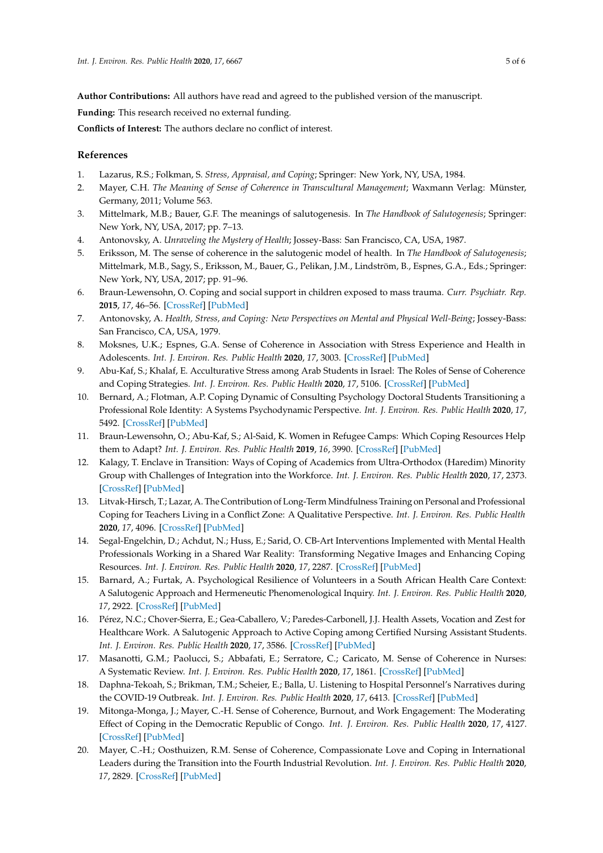**Author Contributions:** All authors have read and agreed to the published version of the manuscript.

**Funding:** This research received no external funding.

**Conflicts of Interest:** The authors declare no conflict of interest.

# **References**

- <span id="page-4-0"></span>1. Lazarus, R.S.; Folkman, S. *Stress, Appraisal, and Coping*; Springer: New York, NY, USA, 1984.
- <span id="page-4-1"></span>2. Mayer, C.H. *The Meaning of Sense of Coherence in Transcultural Management*; Waxmann Verlag: Münster, Germany, 2011; Volume 563.
- <span id="page-4-2"></span>3. Mittelmark, M.B.; Bauer, G.F. The meanings of salutogenesis. In *The Handbook of Salutogenesis*; Springer: New York, NY, USA, 2017; pp. 7–13.
- <span id="page-4-3"></span>4. Antonovsky, A. *Unraveling the Mystery of Health*; Jossey-Bass: San Francisco, CA, USA, 1987.
- <span id="page-4-4"></span>5. Eriksson, M. The sense of coherence in the salutogenic model of health. In *The Handbook of Salutogenesis*; Mittelmark, M.B., Sagy, S., Eriksson, M., Bauer, G., Pelikan, J.M., Lindström, B., Espnes, G.A., Eds.; Springer: New York, NY, USA, 2017; pp. 91–96.
- <span id="page-4-5"></span>6. Braun-Lewensohn, O. Coping and social support in children exposed to mass trauma. *Curr. Psychiatr. Rep.* **2015**, *17*, 46–56. [\[CrossRef\]](http://dx.doi.org/10.1007/s11920-015-0576-y) [\[PubMed\]](http://www.ncbi.nlm.nih.gov/pubmed/25903480)
- <span id="page-4-6"></span>7. Antonovsky, A. *Health, Stress, and Coping: New Perspectives on Mental and Physical Well-Being*; Jossey-Bass: San Francisco, CA, USA, 1979.
- <span id="page-4-7"></span>8. Moksnes, U.K.; Espnes, G.A. Sense of Coherence in Association with Stress Experience and Health in Adolescents. *Int. J. Environ. Res. Public Health* **2020**, *17*, 3003. [\[CrossRef\]](http://dx.doi.org/10.3390/ijerph17093003) [\[PubMed\]](http://www.ncbi.nlm.nih.gov/pubmed/32357461)
- <span id="page-4-8"></span>9. Abu-Kaf, S.; Khalaf, E. Acculturative Stress among Arab Students in Israel: The Roles of Sense of Coherence and Coping Strategies. *Int. J. Environ. Res. Public Health* **2020**, *17*, 5106. [\[CrossRef\]](http://dx.doi.org/10.3390/ijerph17145106) [\[PubMed\]](http://www.ncbi.nlm.nih.gov/pubmed/32679817)
- <span id="page-4-9"></span>10. Bernard, A.; Flotman, A.P. Coping Dynamic of Consulting Psychology Doctoral Students Transitioning a Professional Role Identity: A Systems Psychodynamic Perspective. *Int. J. Environ. Res. Public Health* **2020**, *17*, 5492. [\[CrossRef\]](http://dx.doi.org/10.3390/ijerph17155492) [\[PubMed\]](http://www.ncbi.nlm.nih.gov/pubmed/32751411)
- <span id="page-4-10"></span>11. Braun-Lewensohn, O.; Abu-Kaf, S.; Al-Said, K. Women in Refugee Camps: Which Coping Resources Help them to Adapt? *Int. J. Environ. Res. Public Health* **2019**, *16*, 3990. [\[CrossRef\]](http://dx.doi.org/10.3390/ijerph16203990) [\[PubMed\]](http://www.ncbi.nlm.nih.gov/pubmed/31635399)
- <span id="page-4-11"></span>12. Kalagy, T. Enclave in Transition: Ways of Coping of Academics from Ultra-Orthodox (Haredim) Minority Group with Challenges of Integration into the Workforce. *Int. J. Environ. Res. Public Health* **2020**, *17*, 2373. [\[CrossRef\]](http://dx.doi.org/10.3390/ijerph17072373) [\[PubMed\]](http://www.ncbi.nlm.nih.gov/pubmed/32244479)
- <span id="page-4-12"></span>13. Litvak-Hirsch, T.; Lazar, A. The Contribution of Long-Term Mindfulness Training on Personal and Professional Coping for Teachers Living in a Conflict Zone: A Qualitative Perspective. *Int. J. Environ. Res. Public Health* **2020**, *17*, 4096. [\[CrossRef\]](http://dx.doi.org/10.3390/ijerph17114096) [\[PubMed\]](http://www.ncbi.nlm.nih.gov/pubmed/32521779)
- <span id="page-4-13"></span>14. Segal-Engelchin, D.; Achdut, N.; Huss, E.; Sarid, O. CB-Art Interventions Implemented with Mental Health Professionals Working in a Shared War Reality: Transforming Negative Images and Enhancing Coping Resources. *Int. J. Environ. Res. Public Health* **2020**, *17*, 2287. [\[CrossRef\]](http://dx.doi.org/10.3390/ijerph17072287) [\[PubMed\]](http://www.ncbi.nlm.nih.gov/pubmed/32231134)
- <span id="page-4-14"></span>15. Barnard, A.; Furtak, A. Psychological Resilience of Volunteers in a South African Health Care Context: A Salutogenic Approach and Hermeneutic Phenomenological Inquiry. *Int. J. Environ. Res. Public Health* **2020**, *17*, 2922. [\[CrossRef\]](http://dx.doi.org/10.3390/ijerph17082922) [\[PubMed\]](http://www.ncbi.nlm.nih.gov/pubmed/32344504)
- <span id="page-4-15"></span>16. Pérez, N.C.; Chover-Sierra, E.; Gea-Caballero, V.; Paredes-Carbonell, J.J. Health Assets, Vocation and Zest for Healthcare Work. A Salutogenic Approach to Active Coping among Certified Nursing Assistant Students. *Int. J. Environ. Res. Public Health* **2020**, *17*, 3586. [\[CrossRef\]](http://dx.doi.org/10.3390/ijerph17103586) [\[PubMed\]](http://www.ncbi.nlm.nih.gov/pubmed/32443778)
- <span id="page-4-16"></span>17. Masanotti, G.M.; Paolucci, S.; Abbafati, E.; Serratore, C.; Caricato, M. Sense of Coherence in Nurses: A Systematic Review. *Int. J. Environ. Res. Public Health* **2020**, *17*, 1861. [\[CrossRef\]](http://dx.doi.org/10.3390/ijerph17061861) [\[PubMed\]](http://www.ncbi.nlm.nih.gov/pubmed/32183042)
- <span id="page-4-17"></span>18. Daphna-Tekoah, S.; Brikman, T.M.; Scheier, E.; Balla, U. Listening to Hospital Personnel's Narratives during the COVID-19 Outbreak. *Int. J. Environ. Res. Public Health* **2020**, *17*, 6413. [\[CrossRef\]](http://dx.doi.org/10.3390/ijerph17176413) [\[PubMed\]](http://www.ncbi.nlm.nih.gov/pubmed/32899163)
- <span id="page-4-18"></span>19. Mitonga-Monga, J.; Mayer, C.-H. Sense of Coherence, Burnout, and Work Engagement: The Moderating Effect of Coping in the Democratic Republic of Congo. *Int. J. Environ. Res. Public Health* **2020**, *17*, 4127. [\[CrossRef\]](http://dx.doi.org/10.3390/ijerph17114127) [\[PubMed\]](http://www.ncbi.nlm.nih.gov/pubmed/32531877)
- <span id="page-4-19"></span>20. Mayer, C.-H.; Oosthuizen, R.M. Sense of Coherence, Compassionate Love and Coping in International Leaders during the Transition into the Fourth Industrial Revolution. *Int. J. Environ. Res. Public Health* **2020**, *17*, 2829. [\[CrossRef\]](http://dx.doi.org/10.3390/ijerph17082829) [\[PubMed\]](http://www.ncbi.nlm.nih.gov/pubmed/32326008)